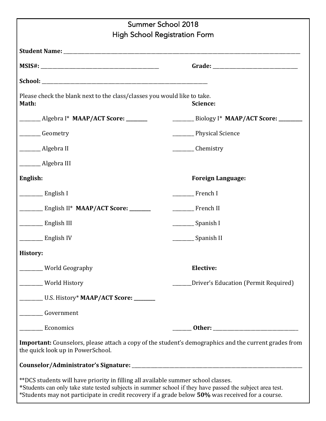| Summer School 2018                                                                                                                                                                                                                                                                                                                                                                                                   |                                                   |  |
|----------------------------------------------------------------------------------------------------------------------------------------------------------------------------------------------------------------------------------------------------------------------------------------------------------------------------------------------------------------------------------------------------------------------|---------------------------------------------------|--|
| <b>High School Registration Form</b>                                                                                                                                                                                                                                                                                                                                                                                 |                                                   |  |
|                                                                                                                                                                                                                                                                                                                                                                                                                      |                                                   |  |
|                                                                                                                                                                                                                                                                                                                                                                                                                      |                                                   |  |
|                                                                                                                                                                                                                                                                                                                                                                                                                      |                                                   |  |
| Please check the blank next to the class/classes you would like to take.<br>Math:                                                                                                                                                                                                                                                                                                                                    | Science:                                          |  |
| ____________ Algebra I* MAAP/ACT Score: _________                                                                                                                                                                                                                                                                                                                                                                    | $\frac{1}{2}$ Biology I* MAAP/ACT Score: ________ |  |
| ________Geometry                                                                                                                                                                                                                                                                                                                                                                                                     | _______ Physical Science                          |  |
| _________ Algebra II                                                                                                                                                                                                                                                                                                                                                                                                 | Chemistry                                         |  |
| ________ Algebra III                                                                                                                                                                                                                                                                                                                                                                                                 |                                                   |  |
| English:                                                                                                                                                                                                                                                                                                                                                                                                             | <b>Foreign Language:</b>                          |  |
| $\frac{1}{\sqrt{1-\frac{1}{2}}\sqrt{1-\frac{1}{2}}\sqrt{1-\frac{1}{2}}\sqrt{1-\frac{1}{2}}\sqrt{1-\frac{1}{2}}\sqrt{1-\frac{1}{2}}\sqrt{1-\frac{1}{2}}\sqrt{1-\frac{1}{2}}\sqrt{1-\frac{1}{2}}\sqrt{1-\frac{1}{2}}\sqrt{1-\frac{1}{2}}\sqrt{1-\frac{1}{2}}\sqrt{1-\frac{1}{2}}\sqrt{1-\frac{1}{2}}\sqrt{1-\frac{1}{2}}\sqrt{1-\frac{1}{2}}\sqrt{1-\frac{1}{2}}\sqrt{1-\frac{1}{2}}\sqrt{1-\frac{1}{2}}\sqrt{1-\frac$ | French I                                          |  |
| $\frac{1}{2}$ English II* MAAP/ACT Score: _______                                                                                                                                                                                                                                                                                                                                                                    | French II                                         |  |
| English III                                                                                                                                                                                                                                                                                                                                                                                                          | __________ Spanish I                              |  |
| <b>English IV</b>                                                                                                                                                                                                                                                                                                                                                                                                    | Spanish II                                        |  |
| History:                                                                                                                                                                                                                                                                                                                                                                                                             |                                                   |  |
| _____ World Geography                                                                                                                                                                                                                                                                                                                                                                                                | Elective:                                         |  |
| ____ World History                                                                                                                                                                                                                                                                                                                                                                                                   | Driver's Education (Permit Required)              |  |
|                                                                                                                                                                                                                                                                                                                                                                                                                      |                                                   |  |
| Government                                                                                                                                                                                                                                                                                                                                                                                                           |                                                   |  |
| <b>Economics</b>                                                                                                                                                                                                                                                                                                                                                                                                     |                                                   |  |
| Important: Counselors, please attach a copy of the student's demographics and the current grades from<br>the quick look up in PowerSchool.                                                                                                                                                                                                                                                                           |                                                   |  |
|                                                                                                                                                                                                                                                                                                                                                                                                                      |                                                   |  |
| **DCS students will have priority in filling all available summer school classes.<br>*Students can only take state tested subjects in summer school if they have passed the subject area test.<br>*Students may not participate in credit recovery if a grade below 50% was received for a course.                                                                                                                   |                                                   |  |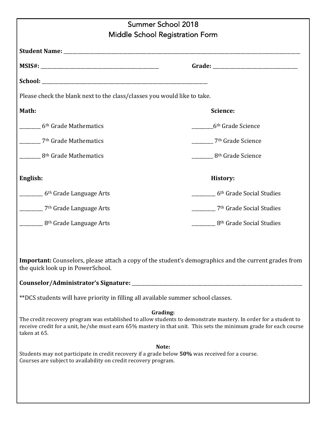| Summer School 2018                                                                                                                                                                                                                                   |                                      |  |
|------------------------------------------------------------------------------------------------------------------------------------------------------------------------------------------------------------------------------------------------------|--------------------------------------|--|
| Middle School Registration Form                                                                                                                                                                                                                      |                                      |  |
|                                                                                                                                                                                                                                                      |                                      |  |
|                                                                                                                                                                                                                                                      |                                      |  |
|                                                                                                                                                                                                                                                      |                                      |  |
| Please check the blank next to the class/classes you would like to take.                                                                                                                                                                             |                                      |  |
|                                                                                                                                                                                                                                                      |                                      |  |
| Math:                                                                                                                                                                                                                                                | Science:                             |  |
| 6 <sup>th</sup> Grade Mathematics                                                                                                                                                                                                                    | 6 <sup>th</sup> Grade Science        |  |
| 7 <sup>th</sup> Grade Mathematics                                                                                                                                                                                                                    | 7 <sup>th</sup> Grade Science        |  |
| 8 <sup>th</sup> Grade Mathematics                                                                                                                                                                                                                    | 8 <sup>th</sup> Grade Science        |  |
| English:                                                                                                                                                                                                                                             | History:                             |  |
| 6 <sup>th</sup> Grade Language Arts                                                                                                                                                                                                                  | 6 <sup>th</sup> Grade Social Studies |  |
| 7 <sup>th</sup> Grade Language Arts                                                                                                                                                                                                                  | <sup>7th</sup> Grade Social Studies  |  |
| 8 <sup>th</sup> Grade Language Arts                                                                                                                                                                                                                  | 8 <sup>th</sup> Grade Social Studies |  |
| Important: Counselors, please attach a copy of the student's demographics and the current grades from<br>the quick look up in PowerSchool.                                                                                                           |                                      |  |
|                                                                                                                                                                                                                                                      |                                      |  |
| **DCS students will have priority in filling all available summer school classes.                                                                                                                                                                    |                                      |  |
| Grading:                                                                                                                                                                                                                                             |                                      |  |
| The credit recovery program was established to allow students to demonstrate mastery. In order for a student to<br>receive credit for a unit, he/she must earn 65% mastery in that unit. This sets the minimum grade for each course<br>taken at 65. |                                      |  |
| Note:                                                                                                                                                                                                                                                |                                      |  |
| Students may not participate in credit recovery if a grade below 50% was received for a course.<br>Courses are subject to availability on credit recovery program.                                                                                   |                                      |  |
|                                                                                                                                                                                                                                                      |                                      |  |
|                                                                                                                                                                                                                                                      |                                      |  |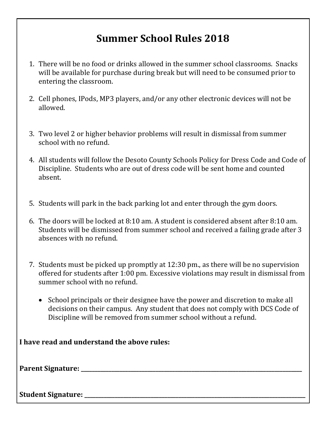## **Summer School Rules 2018**

- 1. There will be no food or drinks allowed in the summer school classrooms. Snacks will be available for purchase during break but will need to be consumed prior to entering the classroom.
- 2. Cell phones, IPods, MP3 players, and/or any other electronic devices will not be allowed.
- 3. Two level 2 or higher behavior problems will result in dismissal from summer school with no refund.
- 4. All students will follow the Desoto County Schools Policy for Dress Code and Code of Discipline. Students who are out of dress code will be sent home and counted absent.
- 5. Students will park in the back parking lot and enter through the gym doors.
- 6. The doors will be locked at  $8:10$  am. A student is considered absent after  $8:10$  am. Students will be dismissed from summer school and received a failing grade after 3 absences with no refund.
- 7. Students must be picked up promptly at  $12:30$  pm., as there will be no supervision offered for students after 1:00 pm. Excessive violations may result in dismissal from summer school with no refund.
	- School principals or their designee have the power and discretion to make all decisions on their campus. Any student that does not comply with DCS Code of Discipline will be removed from summer school without a refund.

| I have read and understand the above rules: |  |
|---------------------------------------------|--|
|                                             |  |
| <b>Student Signature:</b>                   |  |